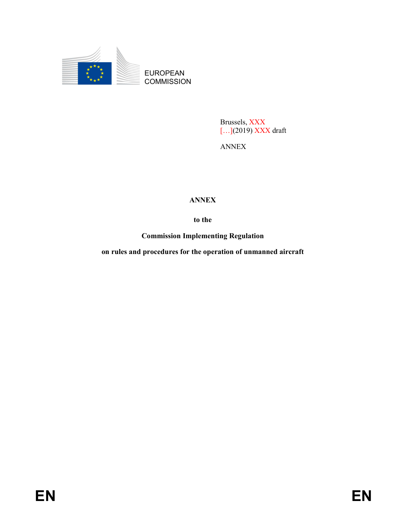

Brussels, XXX<br>[...](2019) XXX draft

ANNEX

# ANNEX

to the

Commission Implementing Regulation

on rules and procedures for the operation of unmanned aircraft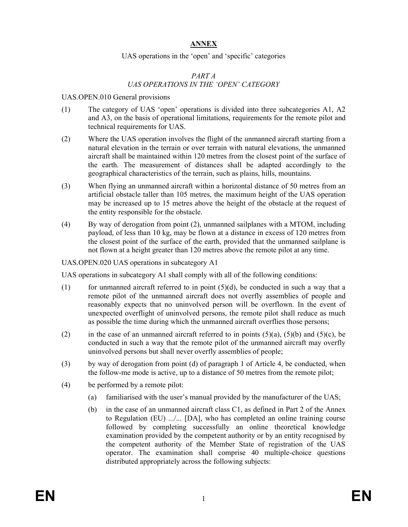### ANNEX

#### UAS operations in the 'open' and 'specific' categories

## PART A UAS OPERATIONS IN THE 'OPEN' CATEGORY

#### UAS.OPEN.010 General provisions

- (1) The category of UAS 'open' operations is divided into three subcategories A1, A2 and A3, on the basis of operational limitations, requirements for the remote pilot and technical requirements for UAS.
- (2) Where the UAS operation involves the flight of the unmanned aircraft starting from a natural elevation in the terrain or over terrain with natural elevations, the unmanned aircraft shall be maintained within 120 metres from the closest point of the surface of the earth. The measurement of distances shall be adapted accordingly to the geographical characteristics of the terrain, such as plains, hills, mountains.
- (3) When flying an unmanned aircraft within a horizontal distance of 50 metres from an artificial obstacle taller than 105 metres, the maximum height of the UAS operation may be increased up to 15 metres above the height of the obstacle at the request of the entity responsible for the obstacle.
- (4) By way of derogation from point (2), unmanned sailplanes with a MTOM, including payload, of less than 10 kg, may be flown at a distance in excess of 120 metres from the closest point of the surface of the earth, provided that the unmanned sailplane is not flown at a height greater than 120 metres above the remote pilot at any time.

#### UAS.OPEN.020 UAS operations in subcategory A1

UAS operations in subcategory A1 shall comply with all of the following conditions:

- (1) for unmanned aircraft referred to in point  $(5)(d)$ , be conducted in such a way that a remote pilot of the unmanned aircraft does not overfly assemblies of people and reasonably expects that no uninvolved person will be overflown. In the event of unexpected overflight of uninvolved persons, the remote pilot shall reduce as much as possible the time during which the unmanned aircraft overflies those persons;
- (2) in the case of an unmanned aircraft referred to in points  $(5)(a)$ ,  $(5)(b)$  and  $(5)(c)$ , be conducted in such a way that the remote pilot of the unmanned aircraft may overfly uninvolved persons but shall never overfly assemblies of people;
- (3) by way of derogation from point (d) of paragraph 1 of Article 4, be conducted, when the follow-me mode is active, up to a distance of 50 metres from the remote pilot;
- (4) be performed by a remote pilot:
	- (a) familiarised with the user's manual provided by the manufacturer of the UAS;
	- (b) in the case of an unmanned aircraft class C1, as defined in Part 2 of the Annex to Regulation (EU) .../... [DA], who has completed an online training course followed by completing successfully an online theoretical knowledge examination provided by the competent authority or by an entity recognised by the competent authority of the Member State of registration of the UAS operator. The examination shall comprise 40 multiple-choice questions distributed appropriately across the following subjects: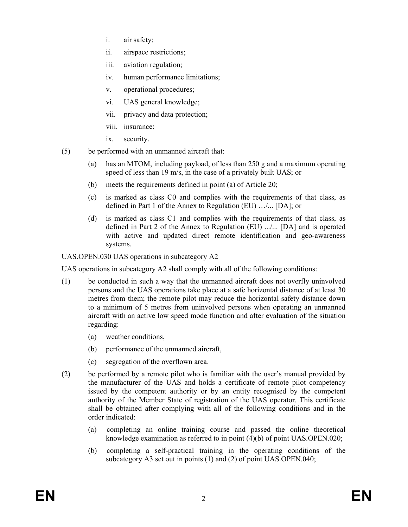- i. air safety;
- ii. airspace restrictions;
- iii. aviation regulation;
- iv. human performance limitations;
- v. operational procedures;
- vi. UAS general knowledge;
- vii. privacy and data protection;
- viii. insurance;
- ix. security.
- (5) be performed with an unmanned aircraft that:
	- (a) has an MTOM, including payload, of less than 250 g and a maximum operating speed of less than 19 m/s, in the case of a privately built UAS; or
	- (b) meets the requirements defined in point (a) of Article 20;
	- (c) is marked as class C0 and complies with the requirements of that class, as defined in Part 1 of the Annex to Regulation (EU) …/... [DA]; or
	- (d) is marked as class C1 and complies with the requirements of that class, as defined in Part 2 of the Annex to Regulation (EU) .../... [DA] and is operated with active and updated direct remote identification and geo-awareness systems.

UAS.OPEN.030 UAS operations in subcategory A2

UAS operations in subcategory A2 shall comply with all of the following conditions:

- (1) be conducted in such a way that the unmanned aircraft does not overfly uninvolved persons and the UAS operations take place at a safe horizontal distance of at least 30 metres from them; the remote pilot may reduce the horizontal safety distance down to a minimum of 5 metres from uninvolved persons when operating an unmanned aircraft with an active low speed mode function and after evaluation of the situation regarding:
	- (a) weather conditions,
	- (b) performance of the unmanned aircraft,
	- (c) segregation of the overflown area.
- (2) be performed by a remote pilot who is familiar with the user's manual provided by the manufacturer of the UAS and holds a certificate of remote pilot competency issued by the competent authority or by an entity recognised by the competent authority of the Member State of registration of the UAS operator. This certificate shall be obtained after complying with all of the following conditions and in the order indicated:
	- (a) completing an online training course and passed the online theoretical knowledge examination as referred to in point (4)(b) of point UAS.OPEN.020;
	- (b) completing a self-practical training in the operating conditions of the subcategory A3 set out in points (1) and (2) of point UAS.OPEN.040;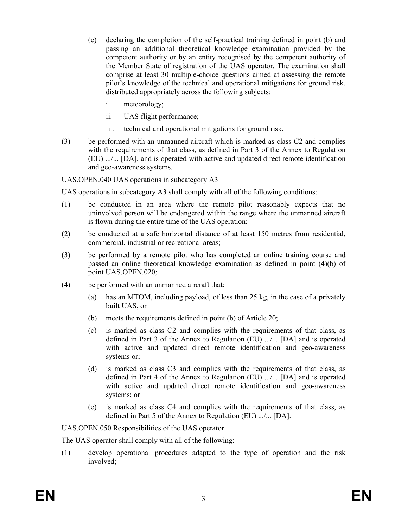- (c) declaring the completion of the self-practical training defined in point (b) and passing an additional theoretical knowledge examination provided by the competent authority or by an entity recognised by the competent authority of the Member State of registration of the UAS operator. The examination shall comprise at least 30 multiple-choice questions aimed at assessing the remote pilot's knowledge of the technical and operational mitigations for ground risk, distributed appropriately across the following subjects:
	- i. meteorology;
	- ii. UAS flight performance;
	- iii. technical and operational mitigations for ground risk.
- (3) be performed with an unmanned aircraft which is marked as class C2 and complies with the requirements of that class, as defined in Part 3 of the Annex to Regulation (EU) .../... [DA], and is operated with active and updated direct remote identification and geo-awareness systems.

UAS.OPEN.040 UAS operations in subcategory A3

UAS operations in subcategory A3 shall comply with all of the following conditions:

- (1) be conducted in an area where the remote pilot reasonably expects that no uninvolved person will be endangered within the range where the unmanned aircraft is flown during the entire time of the UAS operation;
- (2) be conducted at a safe horizontal distance of at least 150 metres from residential, commercial, industrial or recreational areas;
- (3) be performed by a remote pilot who has completed an online training course and passed an online theoretical knowledge examination as defined in point (4)(b) of point UAS.OPEN.020;
- (4) be performed with an unmanned aircraft that:
	- (a) has an MTOM, including payload, of less than 25 kg, in the case of a privately built UAS, or
	- (b) meets the requirements defined in point (b) of Article 20;
	- (c) is marked as class C2 and complies with the requirements of that class, as defined in Part 3 of the Annex to Regulation (EU) .../... [DA] and is operated with active and updated direct remote identification and geo-awareness systems or;
	- (d) is marked as class C3 and complies with the requirements of that class, as defined in Part 4 of the Annex to Regulation (EU) .../... [DA] and is operated with active and updated direct remote identification and geo-awareness systems; or
	- (e) is marked as class C4 and complies with the requirements of that class, as defined in Part 5 of the Annex to Regulation (EU) .../... [DA].

UAS.OPEN.050 Responsibilities of the UAS operator

The UAS operator shall comply with all of the following:

(1) develop operational procedures adapted to the type of operation and the risk involved;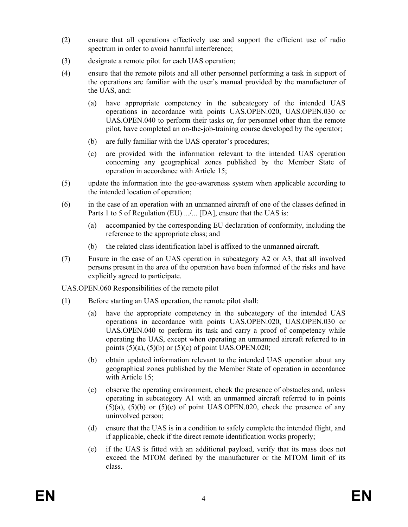- (2) ensure that all operations effectively use and support the efficient use of radio spectrum in order to avoid harmful interference;
- (3) designate a remote pilot for each UAS operation;
- (4) ensure that the remote pilots and all other personnel performing a task in support of the operations are familiar with the user's manual provided by the manufacturer of the UAS, and:
	- (a) have appropriate competency in the subcategory of the intended UAS operations in accordance with points UAS.OPEN.020, UAS.OPEN.030 or UAS.OPEN.040 to perform their tasks or, for personnel other than the remote pilot, have completed an on-the-job-training course developed by the operator;
	- (b) are fully familiar with the UAS operator's procedures;
	- (c) are provided with the information relevant to the intended UAS operation concerning any geographical zones published by the Member State of operation in accordance with Article 15;
- (5) update the information into the geo-awareness system when applicable according to the intended location of operation;
- (6) in the case of an operation with an unmanned aircraft of one of the classes defined in Parts 1 to 5 of Regulation (EU) .../... [DA], ensure that the UAS is:
	- (a) accompanied by the corresponding EU declaration of conformity, including the reference to the appropriate class; and
	- (b) the related class identification label is affixed to the unmanned aircraft.
- (7) Ensure in the case of an UAS operation in subcategory A2 or A3, that all involved persons present in the area of the operation have been informed of the risks and have explicitly agreed to participate.

UAS.OPEN.060 Responsibilities of the remote pilot

- (1) Before starting an UAS operation, the remote pilot shall:
	- (a) have the appropriate competency in the subcategory of the intended UAS operations in accordance with points UAS.OPEN.020, UAS.OPEN.030 or UAS.OPEN.040 to perform its task and carry a proof of competency while operating the UAS, except when operating an unmanned aircraft referred to in points  $(5)(a)$ ,  $(5)(b)$  or  $(5)(c)$  of point UAS.OPEN.020;
	- (b) obtain updated information relevant to the intended UAS operation about any geographical zones published by the Member State of operation in accordance with Article 15;
	- (c) observe the operating environment, check the presence of obstacles and, unless operating in subcategory A1 with an unmanned aircraft referred to in points  $(5)(a)$ ,  $(5)(b)$  or  $(5)(c)$  of point UAS.OPEN.020, check the presence of any uninvolved person;
	- (d) ensure that the UAS is in a condition to safely complete the intended flight, and if applicable, check if the direct remote identification works properly;
	- (e) if the UAS is fitted with an additional payload, verify that its mass does not exceed the MTOM defined by the manufacturer or the MTOM limit of its class.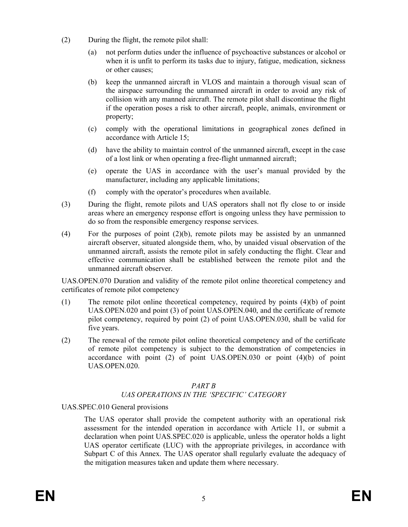- (2) During the flight, the remote pilot shall:
	- (a) not perform duties under the influence of psychoactive substances or alcohol or when it is unfit to perform its tasks due to injury, fatigue, medication, sickness or other causes;
	- (b) keep the unmanned aircraft in VLOS and maintain a thorough visual scan of the airspace surrounding the unmanned aircraft in order to avoid any risk of collision with any manned aircraft. The remote pilot shall discontinue the flight if the operation poses a risk to other aircraft, people, animals, environment or property;
	- (c) comply with the operational limitations in geographical zones defined in accordance with Article 15;
	- (d) have the ability to maintain control of the unmanned aircraft, except in the case of a lost link or when operating a free-flight unmanned aircraft;
	- (e) operate the UAS in accordance with the user's manual provided by the manufacturer, including any applicable limitations;
	- (f) comply with the operator's procedures when available.
- (3) During the flight, remote pilots and UAS operators shall not fly close to or inside areas where an emergency response effort is ongoing unless they have permission to do so from the responsible emergency response services.
- (4) For the purposes of point (2)(b), remote pilots may be assisted by an unmanned aircraft observer, situated alongside them, who, by unaided visual observation of the unmanned aircraft, assists the remote pilot in safely conducting the flight. Clear and effective communication shall be established between the remote pilot and the unmanned aircraft observer.

UAS.OPEN.070 Duration and validity of the remote pilot online theoretical competency and certificates of remote pilot competency

- (1) The remote pilot online theoretical competency, required by points (4)(b) of point UAS.OPEN.020 and point (3) of point UAS.OPEN.040, and the certificate of remote pilot competency, required by point (2) of point UAS.OPEN.030, shall be valid for five years.
- (2) The renewal of the remote pilot online theoretical competency and of the certificate of remote pilot competency is subject to the demonstration of competencies in accordance with point (2) of point UAS.OPEN.030 or point (4)(b) of point UAS.OPEN.020.

## PART B UAS OPERATIONS IN THE 'SPECIFIC' CATEGORY

## UAS.SPEC.010 General provisions

The UAS operator shall provide the competent authority with an operational risk assessment for the intended operation in accordance with Article 11, or submit a declaration when point UAS.SPEC.020 is applicable, unless the operator holds a light UAS operator certificate (LUC) with the appropriate privileges, in accordance with Subpart C of this Annex. The UAS operator shall regularly evaluate the adequacy of the mitigation measures taken and update them where necessary.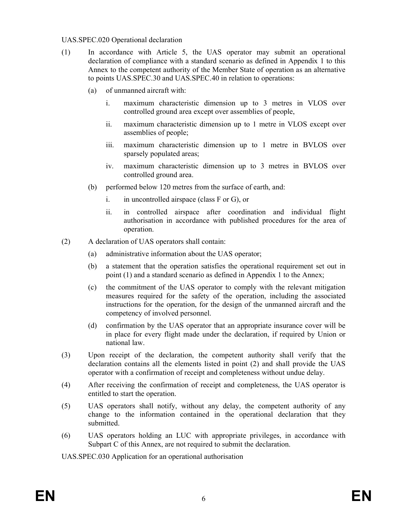#### UAS.SPEC.020 Operational declaration

- (1) In accordance with Article 5, the UAS operator may submit an operational declaration of compliance with a standard scenario as defined in Appendix 1 to this Annex to the competent authority of the Member State of operation as an alternative to points UAS.SPEC.30 and UAS.SPEC.40 in relation to operations:
	- (a) of unmanned aircraft with:
		- i. maximum characteristic dimension up to 3 metres in VLOS over controlled ground area except over assemblies of people,
		- ii. maximum characteristic dimension up to 1 metre in VLOS except over assemblies of people;
		- iii. maximum characteristic dimension up to 1 metre in BVLOS over sparsely populated areas;
		- iv. maximum characteristic dimension up to 3 metres in BVLOS over controlled ground area.
	- (b) performed below 120 metres from the surface of earth, and:
		- i. in uncontrolled airspace (class F or G), or
		- ii. in controlled airspace after coordination and individual flight authorisation in accordance with published procedures for the area of operation.
- (2) A declaration of UAS operators shall contain:
	- (a) administrative information about the UAS operator;
	- (b) a statement that the operation satisfies the operational requirement set out in point (1) and a standard scenario as defined in Appendix 1 to the Annex;
	- (c) the commitment of the UAS operator to comply with the relevant mitigation measures required for the safety of the operation, including the associated instructions for the operation, for the design of the unmanned aircraft and the competency of involved personnel.
	- (d) confirmation by the UAS operator that an appropriate insurance cover will be in place for every flight made under the declaration, if required by Union or national law.
- (3) Upon receipt of the declaration, the competent authority shall verify that the declaration contains all the elements listed in point (2) and shall provide the UAS operator with a confirmation of receipt and completeness without undue delay.
- (4) After receiving the confirmation of receipt and completeness, the UAS operator is entitled to start the operation.
- (5) UAS operators shall notify, without any delay, the competent authority of any change to the information contained in the operational declaration that they submitted.
- (6) UAS operators holding an LUC with appropriate privileges, in accordance with Subpart C of this Annex, are not required to submit the declaration.

UAS.SPEC.030 Application for an operational authorisation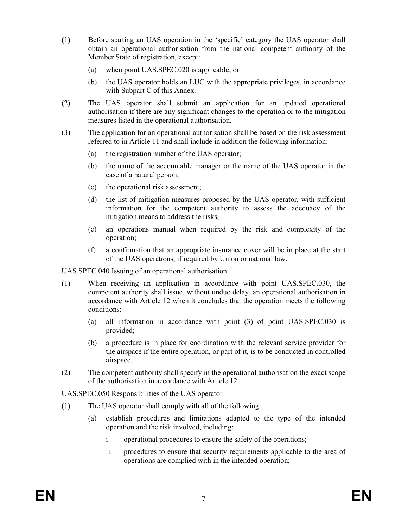- (1) Before starting an UAS operation in the 'specific' category the UAS operator shall obtain an operational authorisation from the national competent authority of the Member State of registration, except:
	- (a) when point UAS.SPEC.020 is applicable; or
	- (b) the UAS operator holds an LUC with the appropriate privileges, in accordance with Subpart C of this Annex.
- (2) The UAS operator shall submit an application for an updated operational authorisation if there are any significant changes to the operation or to the mitigation measures listed in the operational authorisation.
- (3) The application for an operational authorisation shall be based on the risk assessment referred to in Article 11 and shall include in addition the following information:
	- (a) the registration number of the UAS operator;
	- (b) the name of the accountable manager or the name of the UAS operator in the case of a natural person;
	- (c) the operational risk assessment;
	- (d) the list of mitigation measures proposed by the UAS operator, with sufficient information for the competent authority to assess the adequacy of the mitigation means to address the risks;
	- (e) an operations manual when required by the risk and complexity of the operation;
	- (f) a confirmation that an appropriate insurance cover will be in place at the start of the UAS operations, if required by Union or national law.

## UAS.SPEC.040 Issuing of an operational authorisation

- (1) When receiving an application in accordance with point UAS.SPEC.030, the competent authority shall issue, without undue delay, an operational authorisation in accordance with Article 12 when it concludes that the operation meets the following conditions:
	- (a) all information in accordance with point (3) of point UAS.SPEC.030 is provided;
	- (b) a procedure is in place for coordination with the relevant service provider for the airspace if the entire operation, or part of it, is to be conducted in controlled airspace.
- (2) The competent authority shall specify in the operational authorisation the exact scope of the authorisation in accordance with Article 12.

UAS.SPEC.050 Responsibilities of the UAS operator

- (1) The UAS operator shall comply with all of the following:
	- (a) establish procedures and limitations adapted to the type of the intended operation and the risk involved, including:
		- i. operational procedures to ensure the safety of the operations;
		- ii. procedures to ensure that security requirements applicable to the area of operations are complied with in the intended operation;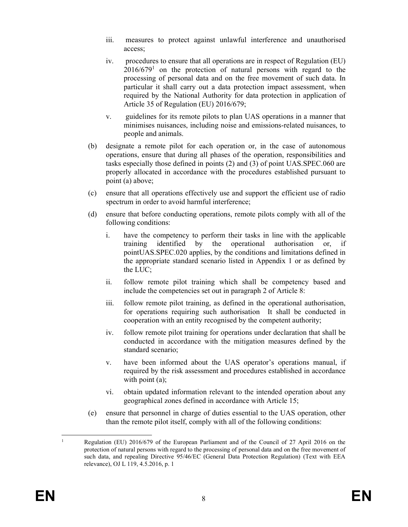- iii. measures to protect against unlawful interference and unauthorised access;
- iv. procedures to ensure that all operations are in respect of Regulation (EU)  $2016/679<sup>1</sup>$  on the protection of natural persons with regard to the processing of personal data and on the free movement of such data. In particular it shall carry out a data protection impact assessment, when required by the National Authority for data protection in application of Article 35 of Regulation (EU) 2016/679;
- v. guidelines for its remote pilots to plan UAS operations in a manner that minimises nuisances, including noise and emissions-related nuisances, to people and animals.
- (b) designate a remote pilot for each operation or, in the case of autonomous operations, ensure that during all phases of the operation, responsibilities and tasks especially those defined in points (2) and (3) of point UAS.SPEC.060 are properly allocated in accordance with the procedures established pursuant to point (a) above;
- (c) ensure that all operations effectively use and support the efficient use of radio spectrum in order to avoid harmful interference;
- (d) ensure that before conducting operations, remote pilots comply with all of the following conditions:
	- i. have the competency to perform their tasks in line with the applicable training identified by the operational authorisation or, if pointUAS.SPEC.020 applies, by the conditions and limitations defined in the appropriate standard scenario listed in Appendix 1 or as defined by the LUC;
	- ii. follow remote pilot training which shall be competency based and include the competencies set out in paragraph 2 of Article 8:
	- iii. follow remote pilot training, as defined in the operational authorisation, for operations requiring such authorisation It shall be conducted in cooperation with an entity recognised by the competent authority;
	- iv. follow remote pilot training for operations under declaration that shall be conducted in accordance with the mitigation measures defined by the standard scenario;
	- v. have been informed about the UAS operator's operations manual, if required by the risk assessment and procedures established in accordance with point (a);
	- vi. obtain updated information relevant to the intended operation about any geographical zones defined in accordance with Article 15;
- (e) ensure that personnel in charge of duties essential to the UAS operation, other than the remote pilot itself, comply with all of the following conditions:

<sup>-</sup>1 Regulation (EU) 2016/679 of the European Parliament and of the Council of 27 April 2016 on the protection of natural persons with regard to the processing of personal data and on the free movement of such data, and repealing Directive 95/46/EC (General Data Protection Regulation) (Text with EEA relevance), OJ L 119, 4.5.2016, p. 1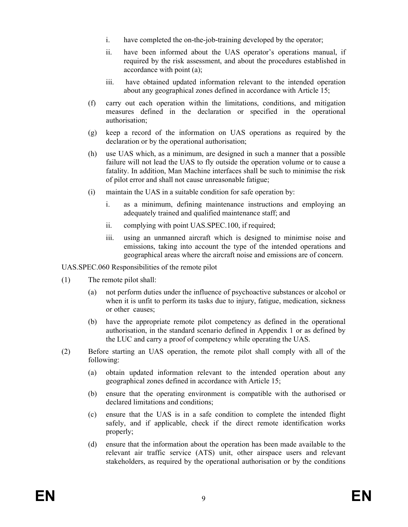- i. have completed the on-the-job-training developed by the operator;
- ii. have been informed about the UAS operator's operations manual, if required by the risk assessment, and about the procedures established in accordance with point (a);
- iii. have obtained updated information relevant to the intended operation about any geographical zones defined in accordance with Article 15;
- (f) carry out each operation within the limitations, conditions, and mitigation measures defined in the declaration or specified in the operational authorisation;
- (g) keep a record of the information on UAS operations as required by the declaration or by the operational authorisation;
- (h) use UAS which, as a minimum, are designed in such a manner that a possible failure will not lead the UAS to fly outside the operation volume or to cause a fatality. In addition, Man Machine interfaces shall be such to minimise the risk of pilot error and shall not cause unreasonable fatigue;
- (i) maintain the UAS in a suitable condition for safe operation by:
	- i. as a minimum, defining maintenance instructions and employing an adequately trained and qualified maintenance staff; and
	- ii. complying with point UAS.SPEC.100, if required;
	- iii. using an unmanned aircraft which is designed to minimise noise and emissions, taking into account the type of the intended operations and geographical areas where the aircraft noise and emissions are of concern.

UAS.SPEC.060 Responsibilities of the remote pilot

- (1) The remote pilot shall:
	- (a) not perform duties under the influence of psychoactive substances or alcohol or when it is unfit to perform its tasks due to injury, fatigue, medication, sickness or other causes;
	- (b) have the appropriate remote pilot competency as defined in the operational authorisation, in the standard scenario defined in Appendix 1 or as defined by the LUC and carry a proof of competency while operating the UAS.
- (2) Before starting an UAS operation, the remote pilot shall comply with all of the following:
	- (a) obtain updated information relevant to the intended operation about any geographical zones defined in accordance with Article 15;
	- (b) ensure that the operating environment is compatible with the authorised or declared limitations and conditions;
	- (c) ensure that the UAS is in a safe condition to complete the intended flight safely, and if applicable, check if the direct remote identification works properly;
	- (d) ensure that the information about the operation has been made available to the relevant air traffic service (ATS) unit, other airspace users and relevant stakeholders, as required by the operational authorisation or by the conditions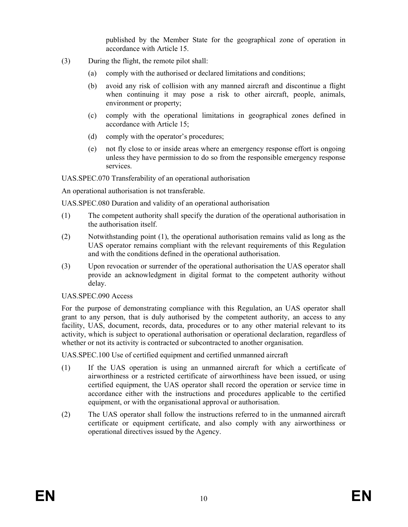published by the Member State for the geographical zone of operation in accordance with Article 15.

- (3) During the flight, the remote pilot shall:
	- (a) comply with the authorised or declared limitations and conditions;
	- (b) avoid any risk of collision with any manned aircraft and discontinue a flight when continuing it may pose a risk to other aircraft, people, animals, environment or property;
	- (c) comply with the operational limitations in geographical zones defined in accordance with Article 15;
	- (d) comply with the operator's procedures;
	- (e) not fly close to or inside areas where an emergency response effort is ongoing unless they have permission to do so from the responsible emergency response services.

UAS.SPEC.070 Transferability of an operational authorisation

An operational authorisation is not transferable.

UAS.SPEC.080 Duration and validity of an operational authorisation

- (1) The competent authority shall specify the duration of the operational authorisation in the authorisation itself.
- (2) Notwithstanding point (1), the operational authorisation remains valid as long as the UAS operator remains compliant with the relevant requirements of this Regulation and with the conditions defined in the operational authorisation.
- (3) Upon revocation or surrender of the operational authorisation the UAS operator shall provide an acknowledgment in digital format to the competent authority without delay.

#### UAS.SPEC.090 Access

For the purpose of demonstrating compliance with this Regulation, an UAS operator shall grant to any person, that is duly authorised by the competent authority, an access to any facility, UAS, document, records, data, procedures or to any other material relevant to its activity, which is subject to operational authorisation or operational declaration, regardless of whether or not its activity is contracted or subcontracted to another organisation.

UAS.SPEC.100 Use of certified equipment and certified unmanned aircraft

- (1) If the UAS operation is using an unmanned aircraft for which a certificate of airworthiness or a restricted certificate of airworthiness have been issued, or using certified equipment, the UAS operator shall record the operation or service time in accordance either with the instructions and procedures applicable to the certified equipment, or with the organisational approval or authorisation.
- (2) The UAS operator shall follow the instructions referred to in the unmanned aircraft certificate or equipment certificate, and also comply with any airworthiness or operational directives issued by the Agency.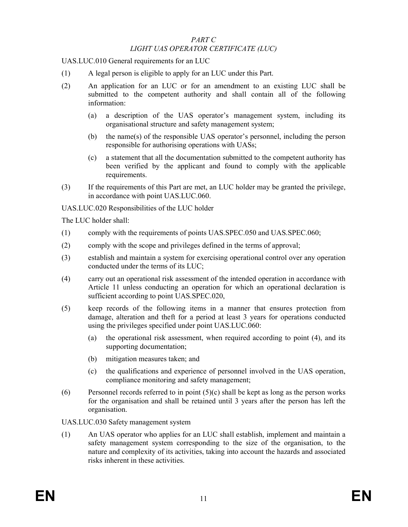#### PART C LIGHT UAS OPERATOR CERTIFICATE (LUC)

UAS.LUC.010 General requirements for an LUC

- (1) A legal person is eligible to apply for an LUC under this Part.
- (2) An application for an LUC or for an amendment to an existing LUC shall be submitted to the competent authority and shall contain all of the following information:
	- (a) a description of the UAS operator's management system, including its organisational structure and safety management system;
	- (b) the name(s) of the responsible UAS operator's personnel, including the person responsible for authorising operations with UASs;
	- (c) a statement that all the documentation submitted to the competent authority has been verified by the applicant and found to comply with the applicable requirements.
- (3) If the requirements of this Part are met, an LUC holder may be granted the privilege, in accordance with point UAS.LUC.060.

UAS.LUC.020 Responsibilities of the LUC holder

The LUC holder shall:

- (1) comply with the requirements of points UAS.SPEC.050 and UAS.SPEC.060;
- (2) comply with the scope and privileges defined in the terms of approval;
- (3) establish and maintain a system for exercising operational control over any operation conducted under the terms of its LUC;
- (4) carry out an operational risk assessment of the intended operation in accordance with Article 11 unless conducting an operation for which an operational declaration is sufficient according to point UAS.SPEC.020,
- (5) keep records of the following items in a manner that ensures protection from damage, alteration and theft for a period at least 3 years for operations conducted using the privileges specified under point UAS.LUC.060:
	- (a) the operational risk assessment, when required according to point (4), and its supporting documentation;
	- (b) mitigation measures taken; and
	- (c) the qualifications and experience of personnel involved in the UAS operation, compliance monitoring and safety management;
- (6) Personnel records referred to in point  $(5)(c)$  shall be kept as long as the person works for the organisation and shall be retained until 3 years after the person has left the organisation.

UAS.LUC.030 Safety management system

(1) An UAS operator who applies for an LUC shall establish, implement and maintain a safety management system corresponding to the size of the organisation, to the nature and complexity of its activities, taking into account the hazards and associated risks inherent in these activities.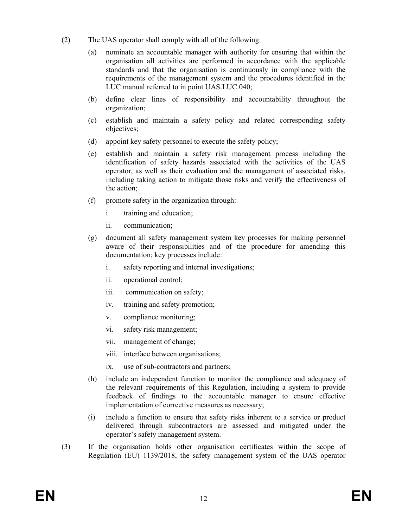- (2) The UAS operator shall comply with all of the following:
	- (a) nominate an accountable manager with authority for ensuring that within the organisation all activities are performed in accordance with the applicable standards and that the organisation is continuously in compliance with the requirements of the management system and the procedures identified in the LUC manual referred to in point UAS.LUC.040;
	- (b) define clear lines of responsibility and accountability throughout the organization;
	- (c) establish and maintain a safety policy and related corresponding safety objectives;
	- (d) appoint key safety personnel to execute the safety policy;
	- (e) establish and maintain a safety risk management process including the identification of safety hazards associated with the activities of the UAS operator, as well as their evaluation and the management of associated risks, including taking action to mitigate those risks and verify the effectiveness of the action;
	- (f) promote safety in the organization through:
		- i. training and education;
		- ii. communication;
	- (g) document all safety management system key processes for making personnel aware of their responsibilities and of the procedure for amending this documentation; key processes include:
		- i. safety reporting and internal investigations;
		- ii. operational control;
		- iii. communication on safety;
		- iv. training and safety promotion;
		- v. compliance monitoring;
		- vi. safety risk management;
		- vii. management of change;
		- viii. interface between organisations;
		- ix. use of sub-contractors and partners;
	- (h) include an independent function to monitor the compliance and adequacy of the relevant requirements of this Regulation, including a system to provide feedback of findings to the accountable manager to ensure effective implementation of corrective measures as necessary;
	- (i) include a function to ensure that safety risks inherent to a service or product delivered through subcontractors are assessed and mitigated under the operator's safety management system.
- (3) If the organisation holds other organisation certificates within the scope of Regulation (EU) 1139/2018, the safety management system of the UAS operator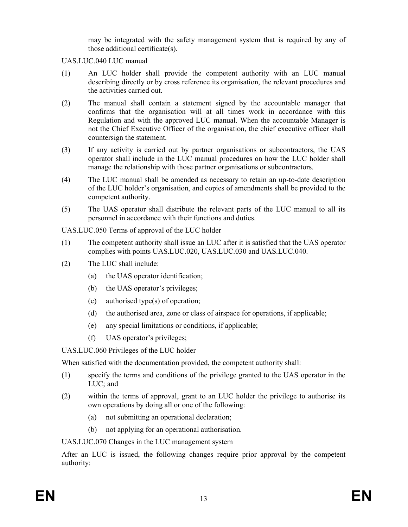may be integrated with the safety management system that is required by any of those additional certificate(s).

UAS.LUC.040 LUC manual

- (1) An LUC holder shall provide the competent authority with an LUC manual describing directly or by cross reference its organisation, the relevant procedures and the activities carried out.
- (2) The manual shall contain a statement signed by the accountable manager that confirms that the organisation will at all times work in accordance with this Regulation and with the approved LUC manual. When the accountable Manager is not the Chief Executive Officer of the organisation, the chief executive officer shall countersign the statement.
- (3) If any activity is carried out by partner organisations or subcontractors, the UAS operator shall include in the LUC manual procedures on how the LUC holder shall manage the relationship with those partner organisations or subcontractors.
- (4) The LUC manual shall be amended as necessary to retain an up-to-date description of the LUC holder's organisation, and copies of amendments shall be provided to the competent authority.
- (5) The UAS operator shall distribute the relevant parts of the LUC manual to all its personnel in accordance with their functions and duties.

UAS.LUC.050 Terms of approval of the LUC holder

- (1) The competent authority shall issue an LUC after it is satisfied that the UAS operator complies with points UAS.LUC.020, UAS.LUC.030 and UAS.LUC.040.
- (2) The LUC shall include:
	- (a) the UAS operator identification;
	- (b) the UAS operator's privileges;
	- (c) authorised type(s) of operation;
	- (d) the authorised area, zone or class of airspace for operations, if applicable;
	- (e) any special limitations or conditions, if applicable;
	- (f) UAS operator's privileges;

UAS.LUC.060 Privileges of the LUC holder

When satisfied with the documentation provided, the competent authority shall:

- (1) specify the terms and conditions of the privilege granted to the UAS operator in the LUC; and
- (2) within the terms of approval, grant to an LUC holder the privilege to authorise its own operations by doing all or one of the following:
	- (a) not submitting an operational declaration;
	- (b) not applying for an operational authorisation.

UAS.LUC.070 Changes in the LUC management system

After an LUC is issued, the following changes require prior approval by the competent authority: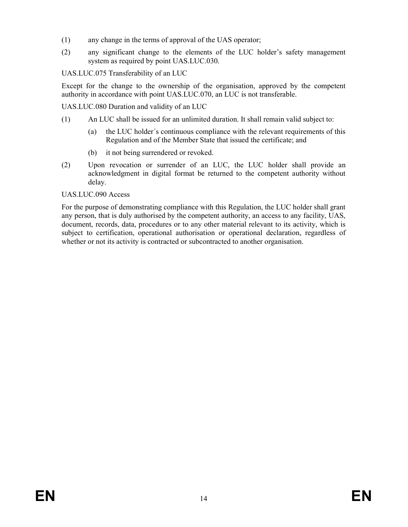- (1) any change in the terms of approval of the UAS operator;
- (2) any significant change to the elements of the LUC holder's safety management system as required by point UAS.LUC.030.

# UAS.LUC.075 Transferability of an LUC

Except for the change to the ownership of the organisation, approved by the competent authority in accordance with point UAS.LUC.070, an LUC is not transferable.

UAS.LUC.080 Duration and validity of an LUC

- (1) An LUC shall be issued for an unlimited duration. It shall remain valid subject to:
	- (a) the LUC holder´s continuous compliance with the relevant requirements of this Regulation and of the Member State that issued the certificate; and
	- (b) it not being surrendered or revoked.
- (2) Upon revocation or surrender of an LUC, the LUC holder shall provide an acknowledgment in digital format be returned to the competent authority without delay.

## UAS.LUC.090 Access

For the purpose of demonstrating compliance with this Regulation, the LUC holder shall grant any person, that is duly authorised by the competent authority, an access to any facility, UAS, document, records, data, procedures or to any other material relevant to its activity, which is subject to certification, operational authorisation or operational declaration, regardless of whether or not its activity is contracted or subcontracted to another organisation.